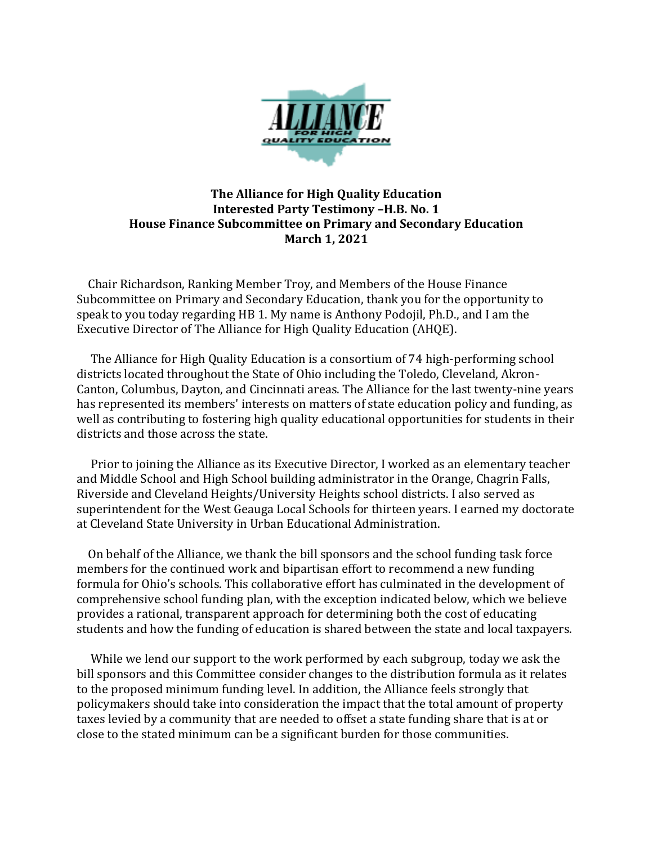

## **The Alliance for High Quality Education Interested Party Testimony –H.B. No. 1 House Finance Subcommittee on Primary and Secondary Education March 1, 2021**

 Chair Richardson, Ranking Member Troy, and Members of the House Finance Subcommittee on Primary and Secondary Education, thank you for the opportunity to speak to you today regarding HB 1. My name is Anthony Podojil, Ph.D., and I am the Executive Director of The Alliance for High Quality Education (AHQE).

 The Alliance for High Quality Education is a consortium of 74 high-performing school districts located throughout the State of Ohio including the Toledo, Cleveland, Akron-Canton, Columbus, Dayton, and Cincinnati areas. The Alliance for the last twenty-nine years has represented its members' interests on matters of state education policy and funding, as well as contributing to fostering high quality educational opportunities for students in their districts and those across the state.

 Prior to joining the Alliance as its Executive Director, I worked as an elementary teacher and Middle School and High School building administrator in the Orange, Chagrin Falls, Riverside and Cleveland Heights/University Heights school districts. I also served as superintendent for the West Geauga Local Schools for thirteen years. I earned my doctorate at Cleveland State University in Urban Educational Administration.

 On behalf of the Alliance, we thank the bill sponsors and the school funding task force members for the continued work and bipartisan effort to recommend a new funding formula for Ohio's schools. This collaborative effort has culminated in the development of comprehensive school funding plan, with the exception indicated below, which we believe provides a rational, transparent approach for determining both the cost of educating students and how the funding of education is shared between the state and local taxpayers.

 While we lend our support to the work performed by each subgroup, today we ask the bill sponsors and this Committee consider changes to the distribution formula as it relates to the proposed minimum funding level. In addition, the Alliance feels strongly that policymakers should take into consideration the impact that the total amount of property taxes levied by a community that are needed to offset a state funding share that is at or close to the stated minimum can be a significant burden for those communities.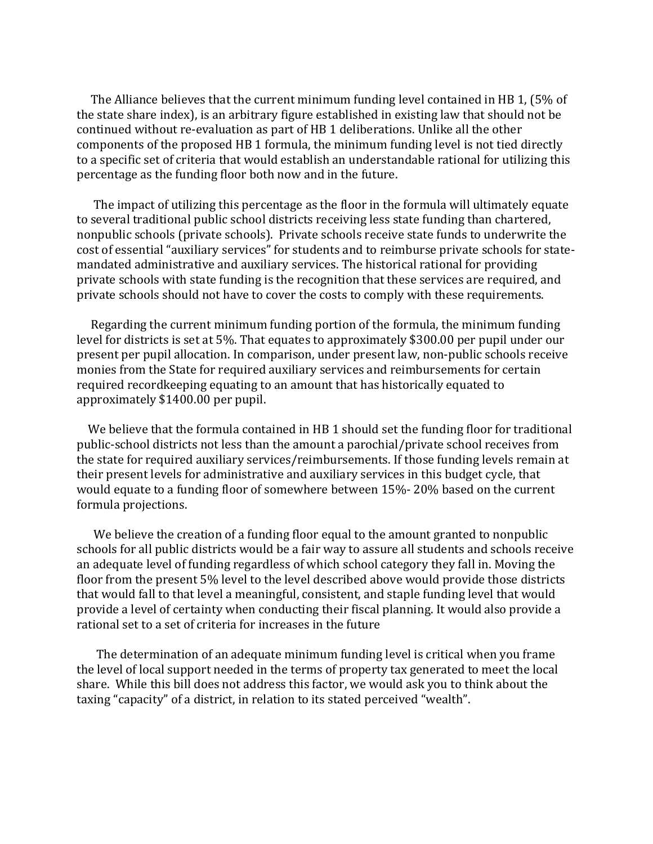The Alliance believes that the current minimum funding level contained in HB 1, (5% of the state share index), is an arbitrary figure established in existing law that should not be continued without re-evaluation as part of HB 1 deliberations. Unlike all the other components of the proposed HB 1 formula, the minimum funding level is not tied directly to a specific set of criteria that would establish an understandable rational for utilizing this percentage as the funding floor both now and in the future.

 The impact of utilizing this percentage as the floor in the formula will ultimately equate to several traditional public school districts receiving less state funding than chartered, nonpublic schools (private schools). Private schools receive state funds to underwrite the cost of essential "auxiliary services" for students and to reimburse private schools for statemandated administrative and auxiliary services. The historical rational for providing private schools with state funding is the recognition that these services are required, and private schools should not have to cover the costs to comply with these requirements.

 Regarding the current minimum funding portion of the formula, the minimum funding level for districts is set at 5%. That equates to approximately \$300.00 per pupil under our present per pupil allocation. In comparison, under present law, non‐public schools receive monies from the State for required auxiliary services and reimbursements for certain required recordkeeping equating to an amount that has historically equated to approximately \$1400.00 per pupil.

We believe that the formula contained in HB 1 should set the funding floor for traditional public-school districts not less than the amount a parochial/private school receives from the state for required auxiliary services/reimbursements. If those funding levels remain at their present levels for administrative and auxiliary services in this budget cycle, that would equate to a funding floor of somewhere between 15%- 20% based on the current formula projections.

 We believe the creation of a funding floor equal to the amount granted to nonpublic schools for all public districts would be a fair way to assure all students and schools receive an adequate level of funding regardless of which school category they fall in. Moving the floor from the present 5% level to the level described above would provide those districts that would fall to that level a meaningful, consistent, and staple funding level that would provide a level of certainty when conducting their fiscal planning. It would also provide a rational set to a set of criteria for increases in the future

The determination of an adequate minimum funding level is critical when you frame the level of local support needed in the terms of property tax generated to meet the local share. While this bill does not address this factor, we would ask you to think about the taxing "capacity" of a district, in relation to its stated perceived "wealth".